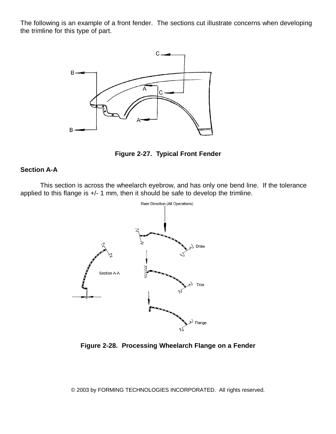The following is an example of a front fender. The sections cut illustrate concerns when developing the trimline for this type of part.





## **Section A-A**

This section is across the wheelarch eyebrow, and has only one bend line. If the tolerance applied to this flange is +/- 1 mm, then it should be safe to develop the trimline.



**Figure 2-28. Processing Wheelarch Flange on a Fender**

© 2003 by FORMING TECHNOLOGIES INCORPORATED. All rights reserved*.*